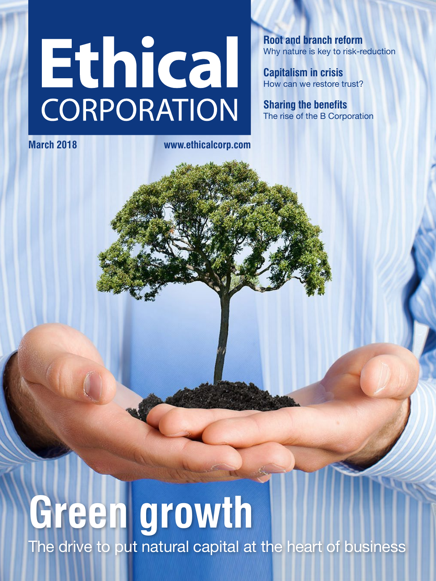# <span id="page-0-0"></span>Ethical CORPORATION

**Root and branch reform** Why nature is key to risk-reduction

**Capitalism in crisis** How can we restore trust?

**Sharing the benefits** The rise of the B Corporation

**March 2018 [www.ethicalcorp.com](http://www.ethicalcorp.com)**

## **Green growth** The drive to put natural capital at the heart of business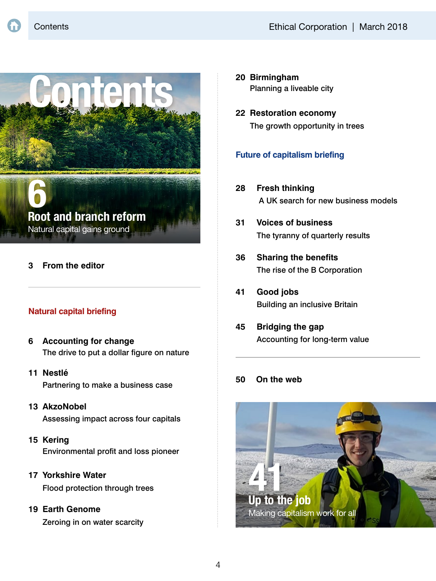

Natural capital gains ground

#### **3 [From the editor](#page-0-0)**

#### **Natural capital briefing**

- **6 Accounting for change** [The drive to put a dollar figure on nature](#page-0-0)
- **11 Nestlé** [Partnering to make a business case](#page-0-0)
- **13 AkzoNobel**

[Assessing impact across four capitals](#page-0-0)

**15 Kering**

[Environmental profit and loss pioneer](#page-0-0)

**17 Yorkshire Water** [Flood protection through trees](#page-0-0)

#### **19 Earth Genome**

[Zeroing in on water scarcity](#page-0-0)

- **20 Birmingham** [Planning a liveable city](#page-0-0)
- **22 Restoration economy** [The growth opportunity in trees](#page-2-0)

#### **Future of capitalism briefing**

- **28 Fresh thinking** [A UK search for new business models](#page-0-0)
- **31 Voices of business** [The tyranny of quarterly results](#page-0-0)
- **[36 Sharing the benefits](#page-0-0)** The rise of the B Corporation
- **41 Good jobs** [Building an inclusive Britain](#page-0-0)
- **45 Bridging the gap** [Accounting for long-term value](#page-0-0)

#### **[50 On the web](#page-0-0)**

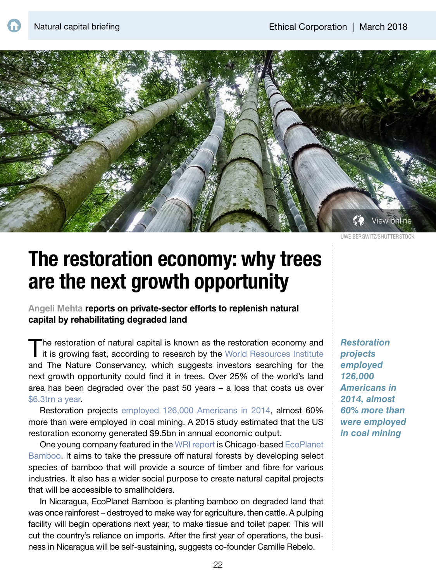<span id="page-2-0"></span>

UWE BERGWITZ/SHUTTERSTOCK

### **The restoration economy: why trees are the next growth opportunity**

**Angeli Mehta reports on private-sector efforts to replenish natural capital by rehabilitating degraded land**

The restoration of natural capital is known as the restoration economy and it is growing fast, according to research by the World Resources Institute and The Nature Conservancy, which suggests investors searching for the next growth opportunity could find it in trees. Over 25% of the world's land area has been degraded over the past 50 years – a loss that costs us over [\\$6.3trn a year](https://www.wri.org/sites/default/files/roots-of-prosperity.pdf).

Restoration projects [employed 126,000 Americans in 2014](http://journals.plos.org/plosone/article?id=10.1371/journal.pone.0128339#sec001), almost 60% more than were employed in coal mining. A 2015 study estimated that the US restoration economy generated \$9.5bn in annual economic output.

One young company featured in the [WRI report](http://www.wri.org/publication/business-of-planting-trees) is Chicago-based [EcoPlanet](http://www.ecoplanetbamboo.com)  [Bamboo](http://www.ecoplanetbamboo.com). It aims to take the pressure off natural forests by developing select species of bamboo that will provide a source of timber and fibre for various industries. It also has a wider social purpose to create natural capital projects that will be accessible to smallholders.

In Nicaragua, EcoPlanet Bamboo is planting bamboo on degraded land that was once rainforest – destroyed to make way for agriculture, then cattle. A pulping facility will begin operations next year, to make tissue and toilet paper. This will cut the country's reliance on imports. After the first year of operations, the business in Nicaragua will be self-sustaining, suggests co-founder Camille Rebelo.

*Restoration projects employed 126,000 Americans in 2014, almost 60% more than were employed in coal mining*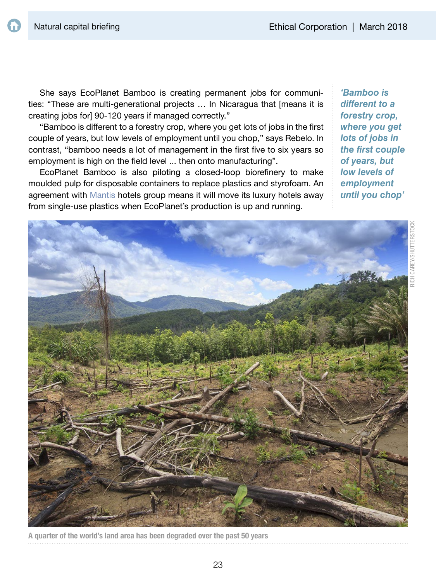She says EcoPlanet Bamboo is creating permanent jobs for communities: "These are multi-generational projects … In Nicaragua that [means it is creating jobs for] 90-120 years if managed correctly."

"Bamboo is diferent to a forestry crop, where you get lots of jobs in the frst couple of years, but low levels of employment until you chop," says Rebelo. In contrast, "bamboo needs a lot of management in the first five to six years so employment is high on the field level ... then onto manufacturing".

EcoPlanet Bamboo is also piloting a closed-loop biorefinery to make moulded pulp for disposable containers to replace plastics and styrofoam. An agreement with [Mantis](https://www.mantiscollection.com) hotels group means it will move its luxury hotels away from single-use plastics when EcoPlanet's production is up and running.

*'Bamboo is different to a forestry crop, where you get lots of jobs in the first couple of years, but low levels of employment until you chop'*



A quarter of the world's land area has been degraded over the past 50 years